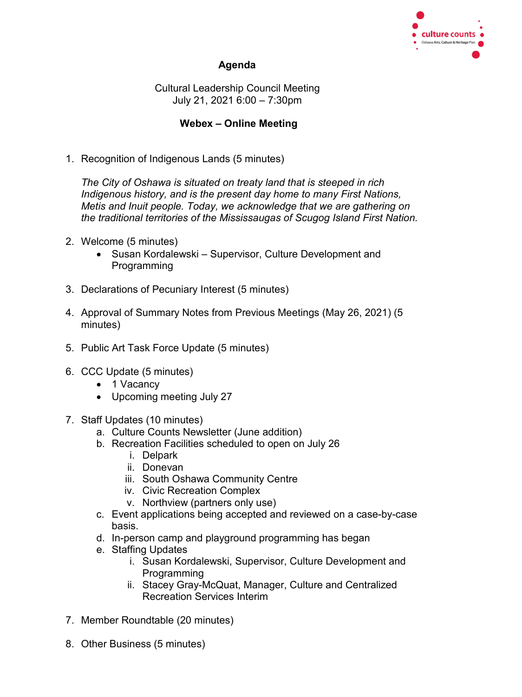

## **Agenda**

Cultural Leadership Council Meeting July 21, 2021 6:00 – 7:30pm

## **Webex – Online Meeting**

1. Recognition of Indigenous Lands (5 minutes)

*The City of Oshawa is situated on treaty land that is steeped in rich Indigenous history, and is the present day home to many First Nations, Metis and Inuit people. Today, we acknowledge that we are gathering on the traditional territories of the Mississaugas of Scugog Island First Nation.*

- 2. Welcome (5 minutes)
	- Susan Kordalewski Supervisor, Culture Development and Programming
- 3. Declarations of Pecuniary Interest (5 minutes)
- 4. Approval of Summary Notes from Previous Meetings (May 26, 2021) (5 minutes)
- 5. Public Art Task Force Update (5 minutes)
- 6. CCC Update (5 minutes)
	- 1 Vacancy
	- Upcoming meeting July 27
- 7. Staff Updates (10 minutes)
	- a. Culture Counts Newsletter (June addition)
	- b. Recreation Facilities scheduled to open on July 26
		- i. Delpark
		- ii. Donevan
		- iii. South Oshawa Community Centre
		- iv. Civic Recreation Complex
		- v. Northview (partners only use)
	- c. Event applications being accepted and reviewed on a case-by-case basis.
	- d. In-person camp and playground programming has began
	- e. Staffing Updates
		- i. Susan Kordalewski, Supervisor, Culture Development and **Programming**
		- ii. Stacey Gray-McQuat, Manager, Culture and Centralized Recreation Services Interim
- 7. Member Roundtable (20 minutes)
- 8. Other Business (5 minutes)